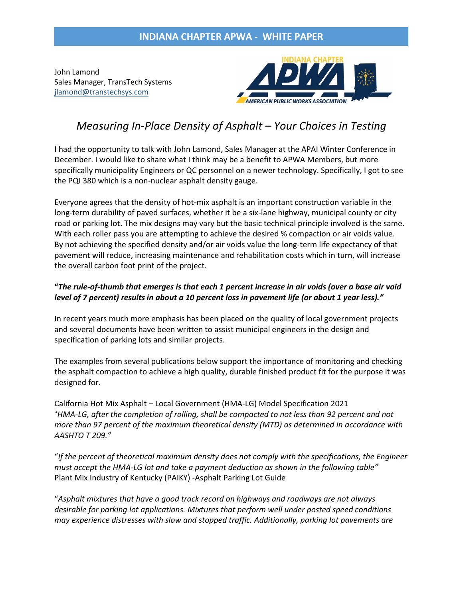# **INDIANA CHAPTER APWA - WHITE PAPER**

John Lamond Sales Manager, TransTech Systems [jlamond@transtechsys.com](mailto:jlamond@transtechsys.com)



# *Measuring In-Place Density of Asphalt – Your Choices in Testing*

I had the opportunity to talk with John Lamond, Sales Manager at the APAI Winter Conference in December. I would like to share what I think may be a benefit to APWA Members, but more specifically municipality Engineers or QC personnel on a newer technology. Specifically, I got to see the PQI 380 which is a non-nuclear asphalt density gauge.

Everyone agrees that the density of hot-mix asphalt is an important construction variable in the long-term durability of paved surfaces, whether it be a six-lane highway, municipal county or city road or parking lot. The mix designs may vary but the basic technical principle involved is the same. With each roller pass you are attempting to achieve the desired % compaction or air voids value. By not achieving the specified density and/or air voids value the long-term life expectancy of that pavement will reduce, increasing maintenance and rehabilitation costs which in turn, will increase the overall carbon foot print of the project.

#### **"***The rule-of-thumb that emerges is that each 1 percent increase in air voids (over a base air void level of 7 percent) results in about a 10 percent loss in pavement life (or about 1 year less)."*

In recent years much more emphasis has been placed on the quality of local government projects and several documents have been written to assist municipal engineers in the design and specification of parking lots and similar projects.

The examples from several publications below support the importance of monitoring and checking the asphalt compaction to achieve a high quality, durable finished product fit for the purpose it was designed for.

California Hot Mix Asphalt – Local Government (HMA-LG) Model Specification 2021 "*HMA-LG, after the completion of rolling, shall be compacted to not less than 92 percent and not more than 97 percent of the maximum theoretical density (MTD) as determined in accordance with AASHTO T 209."*

"*If the percent of theoretical maximum density does not comply with the specifications, the Engineer must accept the HMA-LG lot and take a payment deduction as shown in the following table"*  Plant Mix Industry of Kentucky (PAIKY) -Asphalt Parking Lot Guide

"*Asphalt mixtures that have a good track record on highways and roadways are not always desirable for parking lot applications. Mixtures that perform well under posted speed conditions may experience distresses with slow and stopped traffic. Additionally, parking lot pavements are*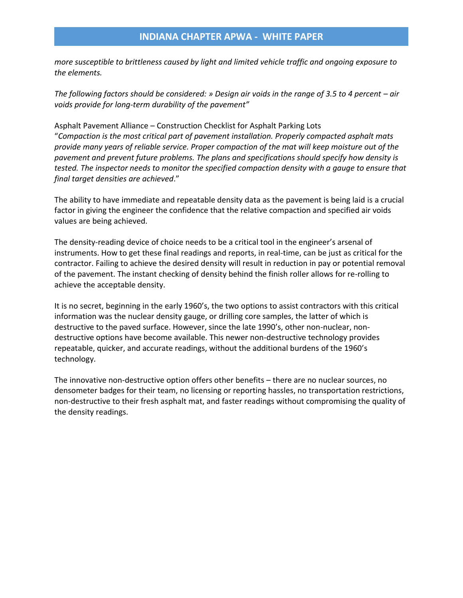## **INDIANA CHAPTER APWA - WHITE PAPER**

*more susceptible to brittleness caused by light and limited vehicle traffic and ongoing exposure to the elements.* 

*The following factors should be considered:* » Design air voids in the range of 3.5 to 4 percent – air *voids provide for long-term durability of the pavement"* 

Asphalt Pavement Alliance – Construction Checklist for Asphalt Parking Lots "*Compaction is the most critical part of pavement installation. Properly compacted asphalt mats provide many years of reliable service. Proper compaction of the mat will keep moisture out of the pavement and prevent future problems. The plans and specifications should specify how density is tested. The inspector needs to monitor the specified compaction density with a gauge to ensure that final target densities are achieved*."

The ability to have immediate and repeatable density data as the pavement is being laid is a crucial factor in giving the engineer the confidence that the relative compaction and specified air voids values are being achieved.

The density-reading device of choice needs to be a critical tool in the engineer's arsenal of instruments. How to get these final readings and reports, in real-time, can be just as critical for the contractor. Failing to achieve the desired density will result in reduction in pay or potential removal of the pavement. The instant checking of density behind the finish roller allows for re-rolling to achieve the acceptable density.

It is no secret, beginning in the early 1960's, the two options to assist contractors with this critical information was the nuclear density gauge, or drilling core samples, the latter of which is destructive to the paved surface. However, since the late 1990's, other non-nuclear, nondestructive options have become available. This newer non-destructive technology provides repeatable, quicker, and accurate readings, without the additional burdens of the 1960's technology.

The innovative non-destructive option offers other benefits – there are no nuclear sources, no densometer badges for their team, no licensing or reporting hassles, no transportation restrictions, non-destructive to their fresh asphalt mat, and faster readings without compromising the quality of the density readings.